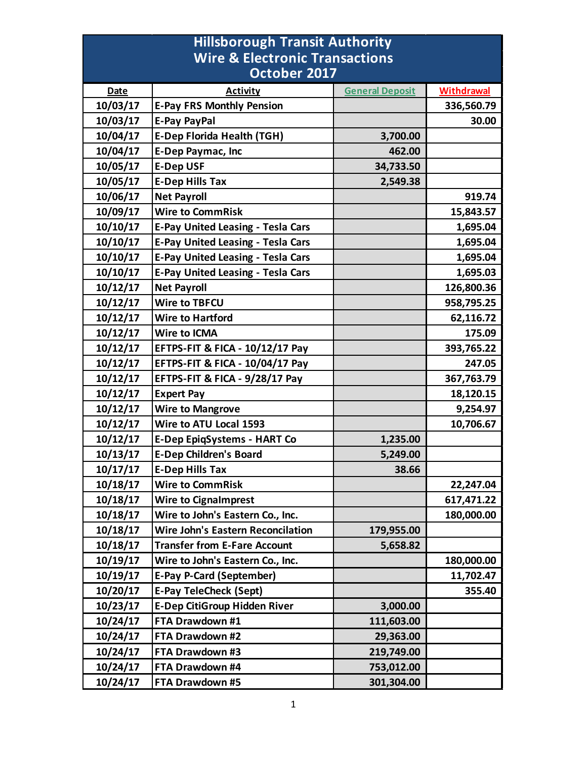| <b>Hillsborough Transit Authority</b>     |                                            |                        |                   |  |
|-------------------------------------------|--------------------------------------------|------------------------|-------------------|--|
| <b>Wire &amp; Electronic Transactions</b> |                                            |                        |                   |  |
|                                           | October 2017                               |                        |                   |  |
| <b>Date</b>                               | <b>Activity</b>                            | <b>General Deposit</b> | <b>Withdrawal</b> |  |
| 10/03/17                                  | <b>E-Pay FRS Monthly Pension</b>           |                        | 336,560.79        |  |
| 10/03/17                                  | <b>E-Pay PayPal</b>                        |                        | 30.00             |  |
| 10/04/17                                  | <b>E-Dep Florida Health (TGH)</b>          | 3,700.00               |                   |  |
| 10/04/17                                  | <b>E-Dep Paymac, Inc</b>                   | 462.00                 |                   |  |
| 10/05/17                                  | <b>E-Dep USF</b>                           | 34,733.50              |                   |  |
| 10/05/17                                  | <b>E-Dep Hills Tax</b>                     | 2,549.38               |                   |  |
| 10/06/17                                  | <b>Net Payroll</b>                         |                        | 919.74            |  |
| 10/09/17                                  | <b>Wire to CommRisk</b>                    |                        | 15,843.57         |  |
| 10/10/17                                  | <b>E-Pay United Leasing - Tesla Cars</b>   |                        | 1,695.04          |  |
| 10/10/17                                  | <b>E-Pay United Leasing - Tesla Cars</b>   |                        | 1,695.04          |  |
| 10/10/17                                  | <b>E-Pay United Leasing - Tesla Cars</b>   |                        | 1,695.04          |  |
| 10/10/17                                  | <b>E-Pay United Leasing - Tesla Cars</b>   |                        | 1,695.03          |  |
| 10/12/17                                  | <b>Net Payroll</b>                         |                        | 126,800.36        |  |
| 10/12/17                                  | <b>Wire to TBFCU</b>                       |                        | 958,795.25        |  |
| 10/12/17                                  | <b>Wire to Hartford</b>                    |                        | 62,116.72         |  |
| 10/12/17                                  | <b>Wire to ICMA</b>                        |                        | 175.09            |  |
| 10/12/17                                  | <b>EFTPS-FIT &amp; FICA - 10/12/17 Pay</b> |                        | 393,765.22        |  |
| 10/12/17                                  | <b>EFTPS-FIT &amp; FICA - 10/04/17 Pay</b> |                        | 247.05            |  |
| 10/12/17                                  | EFTPS-FIT & FICA - 9/28/17 Pay             |                        | 367,763.79        |  |
| 10/12/17                                  | <b>Expert Pay</b>                          |                        | 18,120.15         |  |
| 10/12/17                                  | <b>Wire to Mangrove</b>                    |                        | 9,254.97          |  |
| 10/12/17                                  | Wire to ATU Local 1593                     |                        | 10,706.67         |  |
| 10/12/17                                  | <b>E-Dep EpiqSystems - HART Co</b>         | 1,235.00               |                   |  |
| 10/13/17                                  | <b>E-Dep Children's Board</b>              | 5,249.00               |                   |  |
| 10/17/17                                  | <b>E-Dep Hills Tax</b>                     | 38.66                  |                   |  |
| 10/18/17                                  | <b>Wire to CommRisk</b>                    |                        | 22,247.04         |  |
| 10/18/17                                  | <b>Wire to Cignalmprest</b>                |                        | 617,471.22        |  |
| 10/18/17                                  | Wire to John's Eastern Co., Inc.           |                        | 180,000.00        |  |
| 10/18/17                                  | <b>Wire John's Eastern Reconcilation</b>   | 179,955.00             |                   |  |
| 10/18/17                                  | <b>Transfer from E-Fare Account</b>        | 5,658.82               |                   |  |
| 10/19/17                                  | Wire to John's Eastern Co., Inc.           |                        | 180,000.00        |  |
| 10/19/17                                  | <b>E-Pay P-Card (September)</b>            |                        | 11,702.47         |  |
| 10/20/17                                  | <b>E-Pay TeleCheck (Sept)</b>              |                        | 355.40            |  |
| 10/23/17                                  | <b>E-Dep CitiGroup Hidden River</b>        | 3,000.00               |                   |  |
| 10/24/17                                  | FTA Drawdown #1                            | 111,603.00             |                   |  |
| 10/24/17                                  | FTA Drawdown #2                            | 29,363.00              |                   |  |
| 10/24/17                                  | FTA Drawdown #3                            | 219,749.00             |                   |  |
| 10/24/17                                  | FTA Drawdown #4                            | 753,012.00             |                   |  |
| 10/24/17                                  | FTA Drawdown #5                            | 301,304.00             |                   |  |